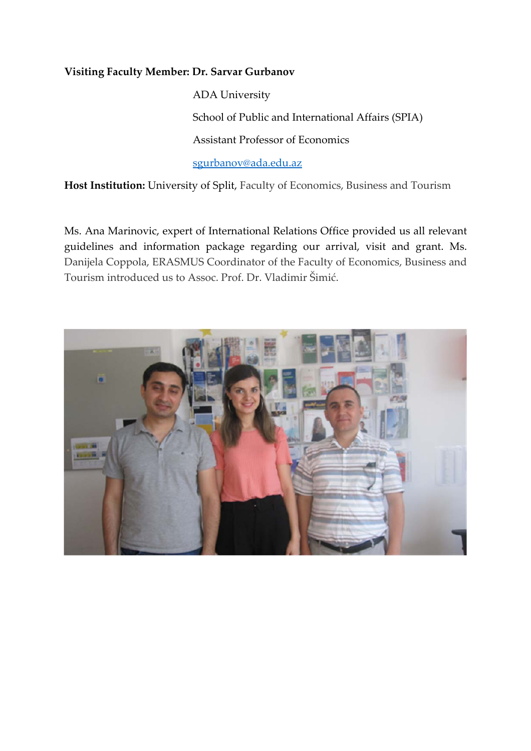## **Visiting Faculty Member: Dr. Sarvar Gurbanov**

 ADA University School of Public and International Affairs (SPIA) Assistant Professor of Economics sgurbanov@ada.edu.az

**Host Institution:** University of Split, Faculty of Economics, Business and Tourism

Ms. Ana Marinovic, expert of International Relations Office provided us all relevant guidelines and information package regarding our arrival, visit and grant. Ms. Danijela Coppola, ERASMUS Coordinator of the Faculty of Economics, Business and Tourism introduced us to Assoc. Prof. Dr. Vladimir Šimić.

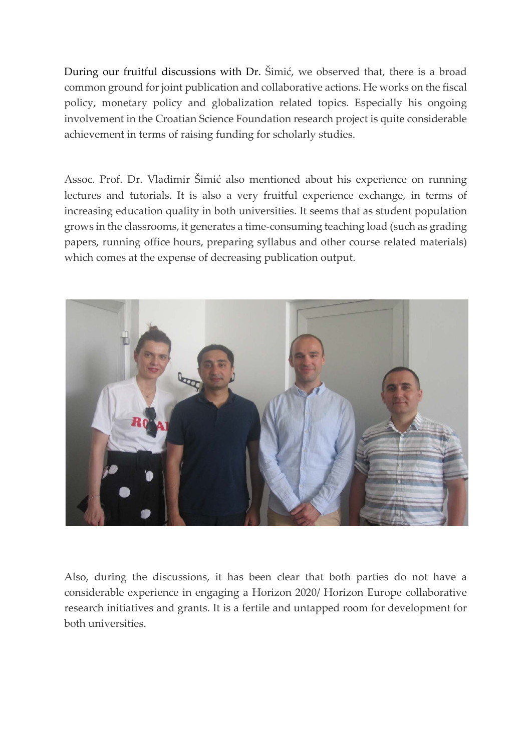During our fruitful discussions with Dr. Šimić, we observed that, there is a broad common ground for joint publication and collaborative actions. He works on the fiscal policy, monetary policy and globalization related topics. Especially his ongoing involvement in the Croatian Science Foundation research project is quite considerable achievement in terms of raising funding for scholarly studies.

Assoc. Prof. Dr. Vladimir Šimić also mentioned about his experience on running lectures and tutorials. It is also a very fruitful experience exchange, in terms of increasing education quality in both universities. It seems that as student population grows in the classrooms, it generates a time‐consuming teaching load (such as grading papers, running office hours, preparing syllabus and other course related materials) which comes at the expense of decreasing publication output.



Also, during the discussions, it has been clear that both parties do not have a considerable experience in engaging a Horizon 2020/ Horizon Europe collaborative research initiatives and grants. It is a fertile and untapped room for development for both universities.